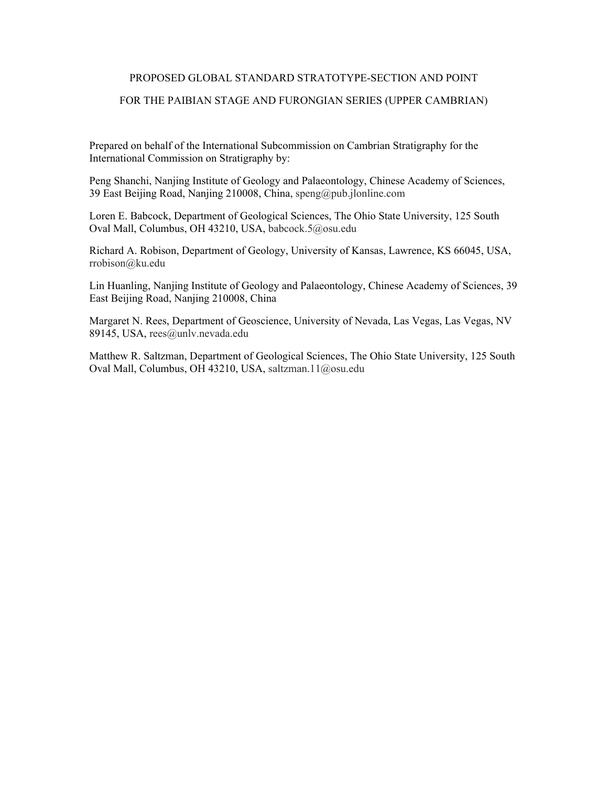# PROPOSED GLOBAL STANDARD STRATOTYPE-SECTION AND POINT

# FOR THE PAIBIAN STAGE AND FURONGIAN SERIES (UPPER CAMBRIAN)

Prepared on behalf of the International Subcommission on Cambrian Stratigraphy for the International Commission on Stratigraphy by:

Peng Shanchi, Nanjing Institute of Geology and Palaeontology, Chinese Academy of Sciences, 39 East Beijing Road, Nanjing 210008, China, speng@pub.jlonline.com

Loren E. Babcock, Department of Geological Sciences, The Ohio State University, 125 South Oval Mall, Columbus, OH 43210, USA, babcock.5@osu.edu

Richard A. Robison, Department of Geology, University of Kansas, Lawrence, KS 66045, USA, rrobison@ku.edu

Lin Huanling, Nanjing Institute of Geology and Palaeontology, Chinese Academy of Sciences, 39 East Beijing Road, Nanjing 210008, China

Margaret N. Rees, Department of Geoscience, University of Nevada, Las Vegas, Las Vegas, NV 89145, USA, rees@unlv.nevada.edu

Matthew R. Saltzman, Department of Geological Sciences, The Ohio State University, 125 South Oval Mall, Columbus, OH 43210, USA, saltzman.11@osu.edu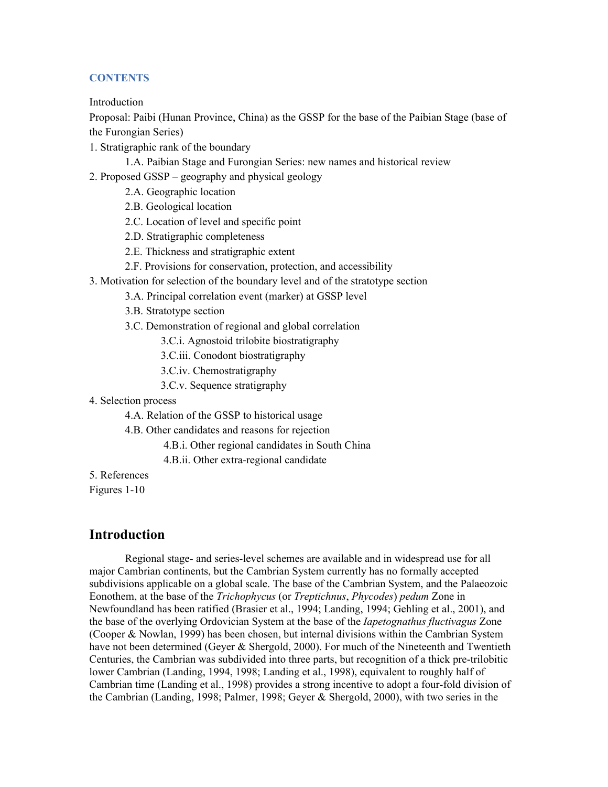# **CONTENTS**

Introduction

Proposal: Paibi (Hunan Province, China) as the GSSP for the base of the Paibian Stage (base of the Furongian Series)

- 1. Stratigraphic rank of the boundary
	- 1.A. Paibian Stage and Furongian Series: new names and historical review
- 2. Proposed GSSP geography and physical geology
	- 2.A. Geographic location
	- 2.B. Geological location
	- 2.C. Location of level and specific point
	- 2.D. Stratigraphic completeness
	- 2.E. Thickness and stratigraphic extent
	- 2.F. Provisions for conservation, protection, and accessibility
- 3. Motivation for selection of the boundary level and of the stratotype section
	- 3.A. Principal correlation event (marker) at GSSP level
	- 3.B. Stratotype section
	- 3.C. Demonstration of regional and global correlation
		- 3.C.i. Agnostoid trilobite biostratigraphy
		- 3.C.iii. Conodont biostratigraphy
		- 3.C.iv. Chemostratigraphy
		- 3.C.v. Sequence stratigraphy
- 4. Selection process
	- 4.A. Relation of the GSSP to historical usage
	- 4.B. Other candidates and reasons for rejection
		- 4.B.i. Other regional candidates in South China
		- 4.B.ii. Other extra-regional candidate

5. References

Figures 1-10

# **Introduction**

Regional stage- and series-level schemes are available and in widespread use for all major Cambrian continents, but the Cambrian System currently has no formally accepted subdivisions applicable on a global scale. The base of the Cambrian System, and the Palaeozoic Eonothem, at the base of the *Trichophycus* (or *Treptichnus*, *Phycodes*) *pedum* Zone in Newfoundland has been ratified (Brasier et al., 1994; Landing, 1994; Gehling et al., 2001), and the base of the overlying Ordovician System at the base of the *Iapetognathus fluctivagus* Zone (Cooper & Nowlan, 1999) has been chosen, but internal divisions within the Cambrian System have not been determined (Geyer & Shergold, 2000). For much of the Nineteenth and Twentieth Centuries, the Cambrian was subdivided into three parts, but recognition of a thick pre-trilobitic lower Cambrian (Landing, 1994, 1998; Landing et al., 1998), equivalent to roughly half of Cambrian time (Landing et al., 1998) provides a strong incentive to adopt a four-fold division of the Cambrian (Landing, 1998; Palmer, 1998; Geyer & Shergold, 2000), with two series in the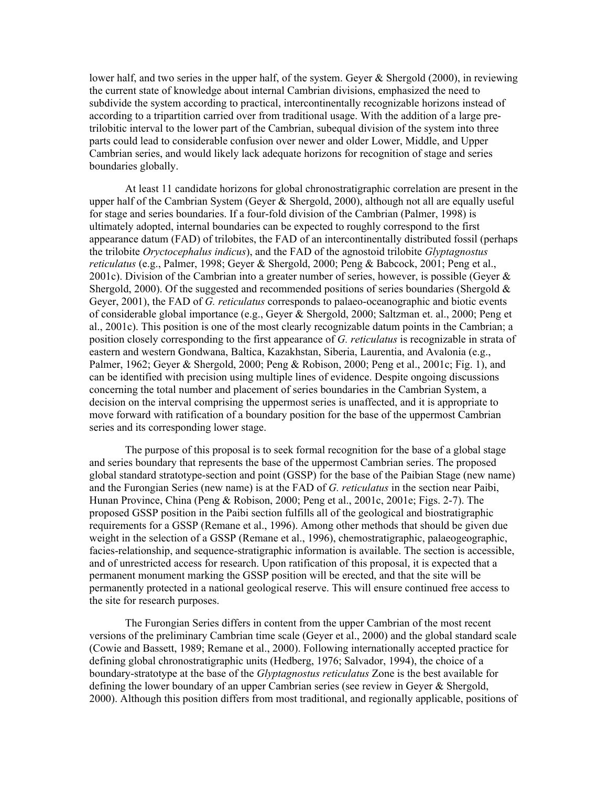lower half, and two series in the upper half, of the system. Gever  $\&$  Shergold (2000), in reviewing the current state of knowledge about internal Cambrian divisions, emphasized the need to subdivide the system according to practical, intercontinentally recognizable horizons instead of according to a tripartition carried over from traditional usage. With the addition of a large pretrilobitic interval to the lower part of the Cambrian, subequal division of the system into three parts could lead to considerable confusion over newer and older Lower, Middle, and Upper Cambrian series, and would likely lack adequate horizons for recognition of stage and series boundaries globally.

At least 11 candidate horizons for global chronostratigraphic correlation are present in the upper half of the Cambrian System (Geyer  $\&$  Shergold, 2000), although not all are equally useful for stage and series boundaries. If a four-fold division of the Cambrian (Palmer, 1998) is ultimately adopted, internal boundaries can be expected to roughly correspond to the first appearance datum (FAD) of trilobites, the FAD of an intercontinentally distributed fossil (perhaps the trilobite *Oryctocephalus indicus*), and the FAD of the agnostoid trilobite *Glyptagnostus reticulatus* (e.g., Palmer, 1998; Geyer & Shergold, 2000; Peng & Babcock, 2001; Peng et al., 2001c). Division of the Cambrian into a greater number of series, however, is possible (Geyer  $\&$ Shergold, 2000). Of the suggested and recommended positions of series boundaries (Shergold  $\&$ Geyer, 2001), the FAD of *G. reticulatus* corresponds to palaeo-oceanographic and biotic events of considerable global importance (e.g., Geyer & Shergold, 2000; Saltzman et. al., 2000; Peng et al., 2001c). This position is one of the most clearly recognizable datum points in the Cambrian; a position closely corresponding to the first appearance of *G. reticulatus* is recognizable in strata of eastern and western Gondwana, Baltica, Kazakhstan, Siberia, Laurentia, and Avalonia (e.g., Palmer, 1962; Geyer & Shergold, 2000; Peng & Robison, 2000; Peng et al., 2001c; Fig. 1), and can be identified with precision using multiple lines of evidence. Despite ongoing discussions concerning the total number and placement of series boundaries in the Cambrian System, a decision on the interval comprising the uppermost series is unaffected, and it is appropriate to move forward with ratification of a boundary position for the base of the uppermost Cambrian series and its corresponding lower stage.

The purpose of this proposal is to seek formal recognition for the base of a global stage and series boundary that represents the base of the uppermost Cambrian series. The proposed global standard stratotype-section and point (GSSP) for the base of the Paibian Stage (new name) and the Furongian Series (new name) is at the FAD of *G. reticulatus* in the section near Paibi, Hunan Province, China (Peng & Robison, 2000; Peng et al., 2001c, 2001e; Figs. 2-7). The proposed GSSP position in the Paibi section fulfills all of the geological and biostratigraphic requirements for a GSSP (Remane et al., 1996). Among other methods that should be given due weight in the selection of a GSSP (Remane et al., 1996), chemostratigraphic, palaeogeographic, facies-relationship, and sequence-stratigraphic information is available. The section is accessible, and of unrestricted access for research. Upon ratification of this proposal, it is expected that a permanent monument marking the GSSP position will be erected, and that the site will be permanently protected in a national geological reserve. This will ensure continued free access to the site for research purposes.

The Furongian Series differs in content from the upper Cambrian of the most recent versions of the preliminary Cambrian time scale (Geyer et al., 2000) and the global standard scale (Cowie and Bassett, 1989; Remane et al., 2000). Following internationally accepted practice for defining global chronostratigraphic units (Hedberg, 1976; Salvador, 1994), the choice of a boundary-stratotype at the base of the *Glyptagnostus reticulatus* Zone is the best available for defining the lower boundary of an upper Cambrian series (see review in Geyer & Shergold, 2000). Although this position differs from most traditional, and regionally applicable, positions of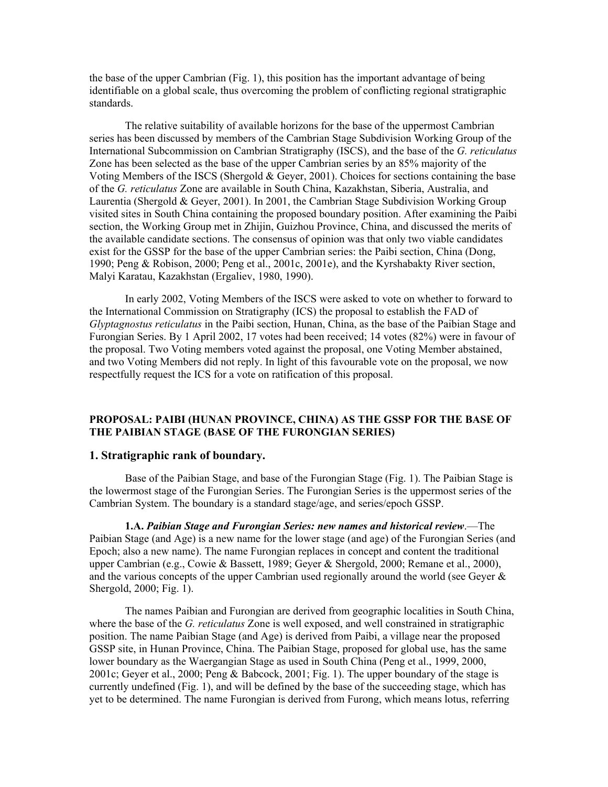the base of the upper Cambrian (Fig. 1), this position has the important advantage of being identifiable on a global scale, thus overcoming the problem of conflicting regional stratigraphic standards.

The relative suitability of available horizons for the base of the uppermost Cambrian series has been discussed by members of the Cambrian Stage Subdivision Working Group of the International Subcommission on Cambrian Stratigraphy (ISCS), and the base of the *G. reticulatus* Zone has been selected as the base of the upper Cambrian series by an 85% majority of the Voting Members of the ISCS (Shergold  $\&$  Geyer, 2001). Choices for sections containing the base of the *G. reticulatus* Zone are available in South China, Kazakhstan, Siberia, Australia, and Laurentia (Shergold & Geyer, 2001). In 2001, the Cambrian Stage Subdivision Working Group visited sites in South China containing the proposed boundary position. After examining the Paibi section, the Working Group met in Zhijin, Guizhou Province, China, and discussed the merits of the available candidate sections. The consensus of opinion was that only two viable candidates exist for the GSSP for the base of the upper Cambrian series: the Paibi section, China (Dong, 1990; Peng & Robison, 2000; Peng et al., 2001c, 2001e), and the Kyrshabakty River section, Malyi Karatau, Kazakhstan (Ergaliev, 1980, 1990).

In early 2002, Voting Members of the ISCS were asked to vote on whether to forward to the International Commission on Stratigraphy (ICS) the proposal to establish the FAD of *Glyptagnostus reticulatus* in the Paibi section, Hunan, China, as the base of the Paibian Stage and Furongian Series. By 1 April 2002, 17 votes had been received; 14 votes (82%) were in favour of the proposal. Two Voting members voted against the proposal, one Voting Member abstained, and two Voting Members did not reply. In light of this favourable vote on the proposal, we now respectfully request the ICS for a vote on ratification of this proposal.

# **PROPOSAL: PAIBI (HUNAN PROVINCE, CHINA) AS THE GSSP FOR THE BASE OF THE PAIBIAN STAGE (BASE OF THE FURONGIAN SERIES)**

#### **1. Stratigraphic rank of boundary.**

Base of the Paibian Stage, and base of the Furongian Stage (Fig. 1). The Paibian Stage is the lowermost stage of the Furongian Series. The Furongian Series is the uppermost series of the Cambrian System. The boundary is a standard stage/age, and series/epoch GSSP.

**1.A.** *Paibian Stage and Furongian Series: new names and historical review*.—The Paibian Stage (and Age) is a new name for the lower stage (and age) of the Furongian Series (and Epoch; also a new name). The name Furongian replaces in concept and content the traditional upper Cambrian (e.g., Cowie & Bassett, 1989; Geyer & Shergold, 2000; Remane et al., 2000), and the various concepts of the upper Cambrian used regionally around the world (see Geyer  $\&$ Shergold, 2000; Fig. 1).

The names Paibian and Furongian are derived from geographic localities in South China, where the base of the *G. reticulatus* Zone is well exposed, and well constrained in stratigraphic position. The name Paibian Stage (and Age) is derived from Paibi, a village near the proposed GSSP site, in Hunan Province, China. The Paibian Stage, proposed for global use, has the same lower boundary as the Waergangian Stage as used in South China (Peng et al., 1999, 2000, 2001c; Geyer et al., 2000; Peng & Babcock, 2001; Fig. 1). The upper boundary of the stage is currently undefined (Fig. 1), and will be defined by the base of the succeeding stage, which has yet to be determined. The name Furongian is derived from Furong, which means lotus, referring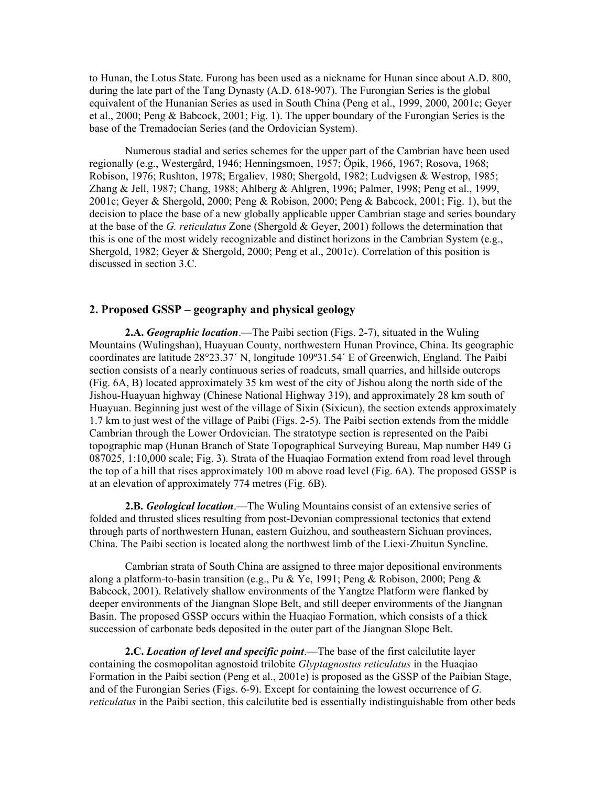to Hunan, the Lotus State. Furong has been used as a nickname for Hunan since about A.D. 800, during the late part of the Tang Dynasty (A.D. 618-907). The Furongian Series is the global equivalent of the Hunanian Series as used in South China (Peng et al., 1999, 2000, 2001c; Geyer et al., 2000; Peng & Babcock, 2001; Fig. 1). The upper boundary of the Furongian Series is the base of the Tremadocian Series (and the Ordovician System).

Numerous stadial and series schemes for the upper part of the Cambrian have been used regionally (e.g., Westergård, 1946; Henningsmoen, 1957; Öpik, 1966, 1967; Rosova, 1968; Robison, 1976; Rushton, 1978; Ergaliev, 1980; Shergold, 1982; Ludvigsen & Westrop, 1985; Zhang & Jell, 1987; Chang, 1988; Ahlberg & Ahlgren, 1996; Palmer, 1998; Peng et al., 1999, 2001c; Geyer & Shergold, 2000; Peng & Robison, 2000; Peng & Babcock, 2001; Fig. 1), but the decision to place the base of a new globally applicable upper Cambrian stage and series boundary at the base of the *G. reticulatus* Zone (Shergold & Geyer, 2001) follows the determination that this is one of the most widely recognizable and distinct horizons in the Cambrian System (e.g., Shergold, 1982; Geyer & Shergold, 2000; Peng et al., 2001c). Correlation of this position is discussed in section 3.C.

# **2. Proposed GSSP – geography and physical geology**

**2.A.** *Geographic location*.—The Paibi section (Figs. 2-7), situated in the Wuling Mountains (Wulingshan), Huayuan County, northwestern Hunan Province, China. Its geographic coordinates are latitude 28°23.37´ N, longitude 109º31.54´ E of Greenwich, England. The Paibi section consists of a nearly continuous series of roadcuts, small quarries, and hillside outcrops (Fig. 6A, B) located approximately 35 km west of the city of Jishou along the north side of the Jishou-Huayuan highway (Chinese National Highway 319), and approximately 28 km south of Huayuan. Beginning just west of the village of Sixin (Sixicun), the section extends approximately 1.7 km to just west of the village of Paibi (Figs. 2-5). The Paibi section extends from the middle Cambrian through the Lower Ordovician. The stratotype section is represented on the Paibi topographic map (Hunan Branch of State Topographical Surveying Bureau, Map number H49 G 087025, 1:10,000 scale; Fig. 3). Strata of the Huaqiao Formation extend from road level through the top of a hill that rises approximately 100 m above road level (Fig. 6A). The proposed GSSP is at an elevation of approximately 774 metres (Fig. 6B).

**2.B.** *Geological location*.—The Wuling Mountains consist of an extensive series of folded and thrusted slices resulting from post-Devonian compressional tectonics that extend through parts of northwestern Hunan, eastern Guizhou, and southeastern Sichuan provinces, China. The Paibi section is located along the northwest limb of the Liexi-Zhuitun Syncline.

Cambrian strata of South China are assigned to three major depositional environments along a platform-to-basin transition (e.g., Pu & Ye, 1991; Peng & Robison, 2000; Peng & Babcock, 2001). Relatively shallow environments of the Yangtze Platform were flanked by deeper environments of the Jiangnan Slope Belt, and still deeper environments of the Jiangnan Basin. The proposed GSSP occurs within the Huaqiao Formation, which consists of a thick succession of carbonate beds deposited in the outer part of the Jiangnan Slope Belt.

**2.C.** *Location of level and specific point*.—The base of the first calcilutite layer containing the cosmopolitan agnostoid trilobite *Glyptagnostus reticulatus* in the Huaqiao Formation in the Paibi section (Peng et al., 2001e) is proposed as the GSSP of the Paibian Stage, and of the Furongian Series (Figs. 6-9). Except for containing the lowest occurrence of *G. reticulatus* in the Paibi section, this calcilutite bed is essentially indistinguishable from other beds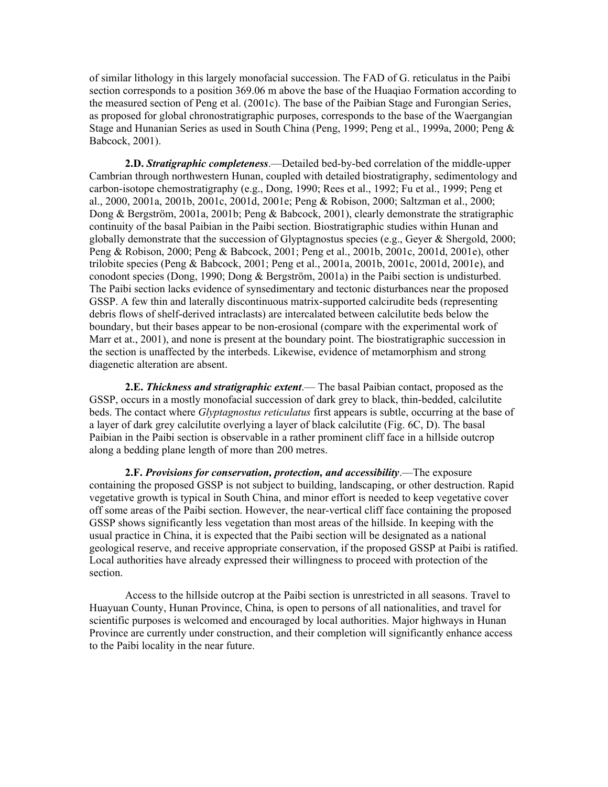of similar lithology in this largely monofacial succession. The FAD of G. reticulatus in the Paibi section corresponds to a position 369.06 m above the base of the Huaqiao Formation according to the measured section of Peng et al. (2001c). The base of the Paibian Stage and Furongian Series, as proposed for global chronostratigraphic purposes, corresponds to the base of the Waergangian Stage and Hunanian Series as used in South China (Peng, 1999; Peng et al., 1999a, 2000; Peng & Babcock, 2001).

**2.D.** *Stratigraphic completeness*.—Detailed bed-by-bed correlation of the middle-upper Cambrian through northwestern Hunan, coupled with detailed biostratigraphy, sedimentology and carbon-isotope chemostratigraphy (e.g., Dong, 1990; Rees et al., 1992; Fu et al., 1999; Peng et al., 2000, 2001a, 2001b, 2001c, 2001d, 2001e; Peng & Robison, 2000; Saltzman et al., 2000; Dong & Bergström, 2001a, 2001b; Peng & Babcock, 2001), clearly demonstrate the stratigraphic continuity of the basal Paibian in the Paibi section. Biostratigraphic studies within Hunan and globally demonstrate that the succession of Glyptagnostus species (e.g., Geyer & Shergold, 2000; Peng & Robison, 2000; Peng & Babcock, 2001; Peng et al., 2001b, 2001c, 2001d, 2001e), other trilobite species (Peng & Babcock, 2001; Peng et al., 2001a, 2001b, 2001c, 2001d, 2001e), and conodont species (Dong, 1990; Dong & Bergström, 2001a) in the Paibi section is undisturbed. The Paibi section lacks evidence of synsedimentary and tectonic disturbances near the proposed GSSP. A few thin and laterally discontinuous matrix-supported calcirudite beds (representing debris flows of shelf-derived intraclasts) are intercalated between calcilutite beds below the boundary, but their bases appear to be non-erosional (compare with the experimental work of Marr et at., 2001), and none is present at the boundary point. The biostratigraphic succession in the section is unaffected by the interbeds. Likewise, evidence of metamorphism and strong diagenetic alteration are absent.

**2.E.** *Thickness and stratigraphic extent*.— The basal Paibian contact, proposed as the GSSP, occurs in a mostly monofacial succession of dark grey to black, thin-bedded, calcilutite beds. The contact where *Glyptagnostus reticulatus* first appears is subtle, occurring at the base of a layer of dark grey calcilutite overlying a layer of black calcilutite (Fig. 6C, D). The basal Paibian in the Paibi section is observable in a rather prominent cliff face in a hillside outcrop along a bedding plane length of more than 200 metres.

**2.F.** *Provisions for conservation, protection, and accessibility*.—The exposure containing the proposed GSSP is not subject to building, landscaping, or other destruction. Rapid vegetative growth is typical in South China, and minor effort is needed to keep vegetative cover off some areas of the Paibi section. However, the near-vertical cliff face containing the proposed GSSP shows significantly less vegetation than most areas of the hillside. In keeping with the usual practice in China, it is expected that the Paibi section will be designated as a national geological reserve, and receive appropriate conservation, if the proposed GSSP at Paibi is ratified. Local authorities have already expressed their willingness to proceed with protection of the section.

Access to the hillside outcrop at the Paibi section is unrestricted in all seasons. Travel to Huayuan County, Hunan Province, China, is open to persons of all nationalities, and travel for scientific purposes is welcomed and encouraged by local authorities. Major highways in Hunan Province are currently under construction, and their completion will significantly enhance access to the Paibi locality in the near future.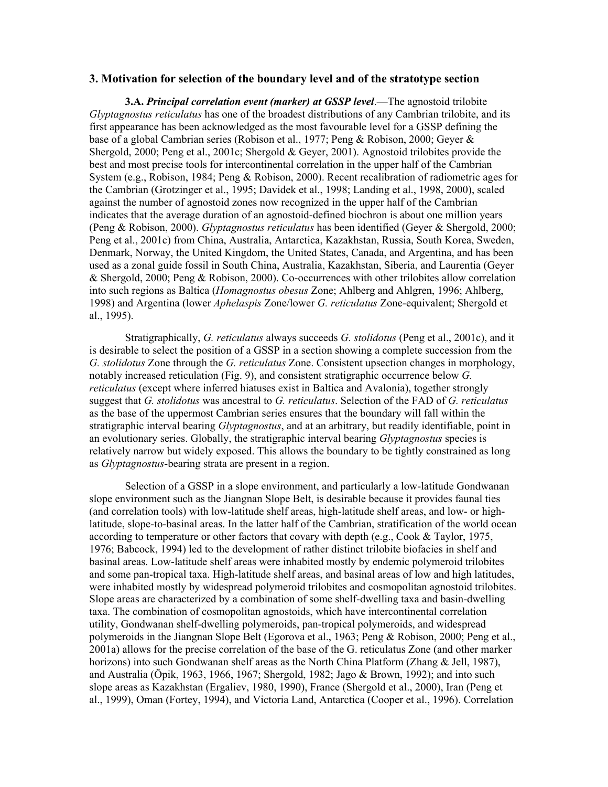#### **3. Motivation for selection of the boundary level and of the stratotype section**

**3.A.** *Principal correlation event (marker) at GSSP level*.—The agnostoid trilobite *Glyptagnostus reticulatus* has one of the broadest distributions of any Cambrian trilobite, and its first appearance has been acknowledged as the most favourable level for a GSSP defining the base of a global Cambrian series (Robison et al., 1977; Peng & Robison, 2000; Geyer & Shergold, 2000; Peng et al., 2001c; Shergold & Geyer, 2001). Agnostoid trilobites provide the best and most precise tools for intercontinental correlation in the upper half of the Cambrian System (e.g., Robison, 1984; Peng & Robison, 2000). Recent recalibration of radiometric ages for the Cambrian (Grotzinger et al., 1995; Davidek et al., 1998; Landing et al., 1998, 2000), scaled against the number of agnostoid zones now recognized in the upper half of the Cambrian indicates that the average duration of an agnostoid-defined biochron is about one million years (Peng & Robison, 2000). *Glyptagnostus reticulatus* has been identified (Geyer & Shergold, 2000; Peng et al., 2001c) from China, Australia, Antarctica, Kazakhstan, Russia, South Korea, Sweden, Denmark, Norway, the United Kingdom, the United States, Canada, and Argentina, and has been used as a zonal guide fossil in South China, Australia, Kazakhstan, Siberia, and Laurentia (Geyer & Shergold, 2000; Peng & Robison, 2000). Co-occurrences with other trilobites allow correlation into such regions as Baltica (*Homagnostus obesus* Zone; Ahlberg and Ahlgren, 1996; Ahlberg, 1998) and Argentina (lower *Aphelaspis* Zone/lower *G. reticulatus* Zone-equivalent; Shergold et al., 1995).

Stratigraphically, *G. reticulatus* always succeeds *G. stolidotus* (Peng et al., 2001c), and it is desirable to select the position of a GSSP in a section showing a complete succession from the *G. stolidotus* Zone through the *G. reticulatus* Zone. Consistent upsection changes in morphology, notably increased reticulation (Fig. 9), and consistent stratigraphic occurrence below *G. reticulatus* (except where inferred hiatuses exist in Baltica and Avalonia), together strongly suggest that *G. stolidotus* was ancestral to *G. reticulatus*. Selection of the FAD of *G. reticulatus* as the base of the uppermost Cambrian series ensures that the boundary will fall within the stratigraphic interval bearing *Glyptagnostus*, and at an arbitrary, but readily identifiable, point in an evolutionary series. Globally, the stratigraphic interval bearing *Glyptagnostus* species is relatively narrow but widely exposed. This allows the boundary to be tightly constrained as long as *Glyptagnostus*-bearing strata are present in a region.

Selection of a GSSP in a slope environment, and particularly a low-latitude Gondwanan slope environment such as the Jiangnan Slope Belt, is desirable because it provides faunal ties (and correlation tools) with low-latitude shelf areas, high-latitude shelf areas, and low- or highlatitude, slope-to-basinal areas. In the latter half of the Cambrian, stratification of the world ocean according to temperature or other factors that covary with depth (e.g., Cook & Taylor, 1975, 1976; Babcock, 1994) led to the development of rather distinct trilobite biofacies in shelf and basinal areas. Low-latitude shelf areas were inhabited mostly by endemic polymeroid trilobites and some pan-tropical taxa. High-latitude shelf areas, and basinal areas of low and high latitudes, were inhabited mostly by widespread polymeroid trilobites and cosmopolitan agnostoid trilobites. Slope areas are characterized by a combination of some shelf-dwelling taxa and basin-dwelling taxa. The combination of cosmopolitan agnostoids, which have intercontinental correlation utility, Gondwanan shelf-dwelling polymeroids, pan-tropical polymeroids, and widespread polymeroids in the Jiangnan Slope Belt (Egorova et al., 1963; Peng & Robison, 2000; Peng et al., 2001a) allows for the precise correlation of the base of the G. reticulatus Zone (and other marker horizons) into such Gondwanan shelf areas as the North China Platform (Zhang & Jell, 1987), and Australia (Öpik, 1963, 1966, 1967; Shergold, 1982; Jago & Brown, 1992); and into such slope areas as Kazakhstan (Ergaliev, 1980, 1990), France (Shergold et al., 2000), Iran (Peng et al., 1999), Oman (Fortey, 1994), and Victoria Land, Antarctica (Cooper et al., 1996). Correlation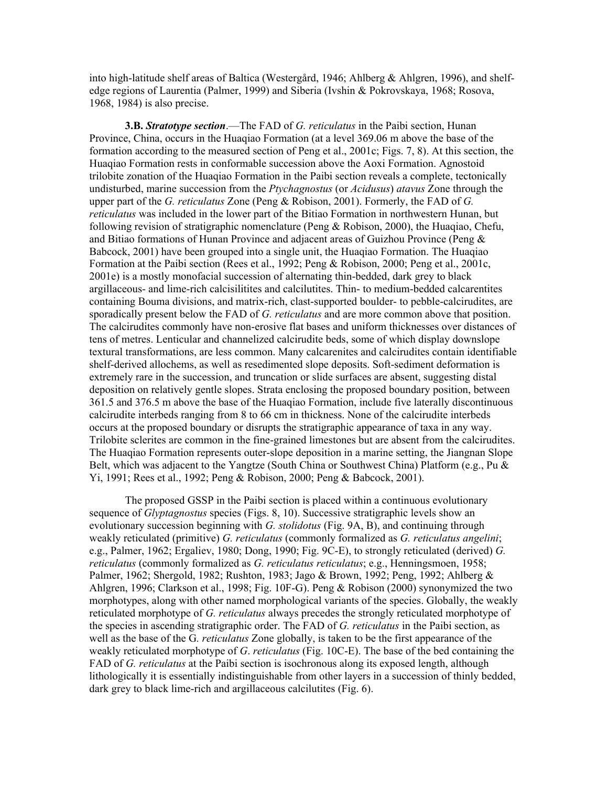into high-latitude shelf areas of Baltica (Westergård, 1946; Ahlberg & Ahlgren, 1996), and shelfedge regions of Laurentia (Palmer, 1999) and Siberia (Ivshin & Pokrovskaya, 1968; Rosova, 1968, 1984) is also precise.

**3.B.** *Stratotype section*.—The FAD of *G. reticulatus* in the Paibi section, Hunan Province, China, occurs in the Huaqiao Formation (at a level 369.06 m above the base of the formation according to the measured section of Peng et al., 2001c; Figs. 7, 8). At this section, the Huaqiao Formation rests in conformable succession above the Aoxi Formation. Agnostoid trilobite zonation of the Huaqiao Formation in the Paibi section reveals a complete, tectonically undisturbed, marine succession from the *Ptychagnostus* (or *Acidusus*) *atavus* Zone through the upper part of the *G. reticulatus* Zone (Peng & Robison, 2001). Formerly, the FAD of *G. reticulatus* was included in the lower part of the Bitiao Formation in northwestern Hunan, but following revision of stratigraphic nomenclature (Peng & Robison, 2000), the Huaqiao, Chefu, and Bitiao formations of Hunan Province and adjacent areas of Guizhou Province (Peng & Babcock, 2001) have been grouped into a single unit, the Huaqiao Formation. The Huaqiao Formation at the Paibi section (Rees et al., 1992; Peng & Robison, 2000; Peng et al., 2001c, 2001e) is a mostly monofacial succession of alternating thin-bedded, dark grey to black argillaceous- and lime-rich calcisilitites and calcilutites. Thin- to medium-bedded calcarentites containing Bouma divisions, and matrix-rich, clast-supported boulder- to pebble-calcirudites, are sporadically present below the FAD of *G. reticulatus* and are more common above that position. The calcirudites commonly have non-erosive flat bases and uniform thicknesses over distances of tens of metres. Lenticular and channelized calcirudite beds, some of which display downslope textural transformations, are less common. Many calcarenites and calcirudites contain identifiable shelf-derived allochems, as well as resedimented slope deposits. Soft-sediment deformation is extremely rare in the succession, and truncation or slide surfaces are absent, suggesting distal deposition on relatively gentle slopes. Strata enclosing the proposed boundary position, between 361.5 and 376.5 m above the base of the Huaqiao Formation, include five laterally discontinuous calcirudite interbeds ranging from 8 to 66 cm in thickness. None of the calcirudite interbeds occurs at the proposed boundary or disrupts the stratigraphic appearance of taxa in any way. Trilobite sclerites are common in the fine-grained limestones but are absent from the calcirudites. The Huaqiao Formation represents outer-slope deposition in a marine setting, the Jiangnan Slope Belt, which was adjacent to the Yangtze (South China or Southwest China) Platform (e.g., Pu & Yi, 1991; Rees et al., 1992; Peng & Robison, 2000; Peng & Babcock, 2001).

The proposed GSSP in the Paibi section is placed within a continuous evolutionary sequence of *Glyptagnostus* species (Figs. 8, 10). Successive stratigraphic levels show an evolutionary succession beginning with *G. stolidotus* (Fig. 9A, B), and continuing through weakly reticulated (primitive) *G. reticulatus* (commonly formalized as *G. reticulatus angelini*; e.g., Palmer, 1962; Ergaliev, 1980; Dong, 1990; Fig. 9C-E), to strongly reticulated (derived) *G. reticulatus* (commonly formalized as *G. reticulatus reticulatus*; e.g., Henningsmoen, 1958; Palmer, 1962; Shergold, 1982; Rushton, 1983; Jago & Brown, 1992; Peng, 1992; Ahlberg & Ahlgren, 1996; Clarkson et al., 1998; Fig. 10F-G). Peng & Robison (2000) synonymized the two morphotypes, along with other named morphological variants of the species. Globally, the weakly reticulated morphotype of *G. reticulatus* always precedes the strongly reticulated morphotype of the species in ascending stratigraphic order. The FAD of *G. reticulatus* in the Paibi section, as well as the base of the G*. reticulatus* Zone globally, is taken to be the first appearance of the weakly reticulated morphotype of *G*. *reticulatus* (Fig. 10C-E). The base of the bed containing the FAD of *G. reticulatus* at the Paibi section is isochronous along its exposed length, although lithologically it is essentially indistinguishable from other layers in a succession of thinly bedded, dark grey to black lime-rich and argillaceous calcilutites (Fig. 6).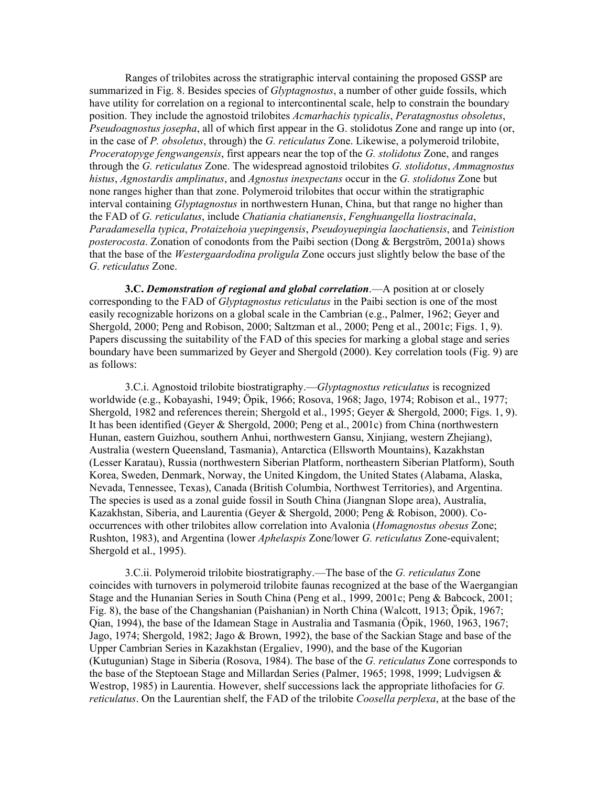Ranges of trilobites across the stratigraphic interval containing the proposed GSSP are summarized in Fig. 8. Besides species of *Glyptagnostus*, a number of other guide fossils, which have utility for correlation on a regional to intercontinental scale, help to constrain the boundary position. They include the agnostoid trilobites *Acmarhachis typicalis*, *Peratagnostus obsoletus*, *Pseudoagnostus josepha*, all of which first appear in the G. stolidotus Zone and range up into (or, in the case of *P. obsoletus*, through) the *G. reticulatus* Zone. Likewise, a polymeroid trilobite, *Proceratopyge fengwangensis*, first appears near the top of the *G. stolidotus* Zone, and ranges through the *G. reticulatus* Zone. The widespread agnostoid trilobites *G. stolidotus*, *Ammagnostus histus*, *Agnostardis amplinatus*, and *Agnostus inexpectans* occur in the *G. stolidotus* Zone but none ranges higher than that zone. Polymeroid trilobites that occur within the stratigraphic interval containing *Glyptagnostus* in northwestern Hunan, China, but that range no higher than the FAD of *G. reticulatus*, include *Chatiania chatianensis*, *Fenghuangella liostracinala*, *Paradamesella typica*, *Protaizehoia yuepingensis*, *Pseudoyuepingia laochatiensis*, and *Teinistion posterocosta*. Zonation of conodonts from the Paibi section (Dong & Bergström, 2001a) shows that the base of the *Westergaardodina proligula* Zone occurs just slightly below the base of the *G. reticulatus* Zone.

**3.C.** *Demonstration of regional and global correlation*.—A position at or closely corresponding to the FAD of *Glyptagnostus reticulatus* in the Paibi section is one of the most easily recognizable horizons on a global scale in the Cambrian (e.g., Palmer, 1962; Geyer and Shergold, 2000; Peng and Robison, 2000; Saltzman et al., 2000; Peng et al., 2001c; Figs. 1, 9). Papers discussing the suitability of the FAD of this species for marking a global stage and series boundary have been summarized by Geyer and Shergold (2000). Key correlation tools (Fig. 9) are as follows:

3.C.i. Agnostoid trilobite biostratigraphy.—*Glyptagnostus reticulatus* is recognized worldwide (e.g., Kobayashi, 1949; Öpik, 1966; Rosova, 1968; Jago, 1974; Robison et al., 1977; Shergold, 1982 and references therein; Shergold et al., 1995; Geyer & Shergold, 2000; Figs. 1, 9). It has been identified (Geyer & Shergold, 2000; Peng et al., 2001c) from China (northwestern Hunan, eastern Guizhou, southern Anhui, northwestern Gansu, Xinjiang, western Zhejiang), Australia (western Queensland, Tasmania), Antarctica (Ellsworth Mountains), Kazakhstan (Lesser Karatau), Russia (northwestern Siberian Platform, northeastern Siberian Platform), South Korea, Sweden, Denmark, Norway, the United Kingdom, the United States (Alabama, Alaska, Nevada, Tennessee, Texas), Canada (British Columbia, Northwest Territories), and Argentina. The species is used as a zonal guide fossil in South China (Jiangnan Slope area), Australia, Kazakhstan, Siberia, and Laurentia (Geyer & Shergold, 2000; Peng & Robison, 2000). Cooccurrences with other trilobites allow correlation into Avalonia (*Homagnostus obesus* Zone; Rushton, 1983), and Argentina (lower *Aphelaspis* Zone/lower *G. reticulatus* Zone-equivalent; Shergold et al., 1995).

3.C.ii. Polymeroid trilobite biostratigraphy.—The base of the *G. reticulatus* Zone coincides with turnovers in polymeroid trilobite faunas recognized at the base of the Waergangian Stage and the Hunanian Series in South China (Peng et al., 1999, 2001c; Peng & Babcock, 2001; Fig. 8), the base of the Changshanian (Paishanian) in North China (Walcott, 1913; Öpik, 1967; Qian, 1994), the base of the Idamean Stage in Australia and Tasmania (Öpik, 1960, 1963, 1967; Jago, 1974; Shergold, 1982; Jago & Brown, 1992), the base of the Sackian Stage and base of the Upper Cambrian Series in Kazakhstan (Ergaliev, 1990), and the base of the Kugorian (Kutugunian) Stage in Siberia (Rosova, 1984). The base of the *G. reticulatus* Zone corresponds to the base of the Steptoean Stage and Millardan Series (Palmer, 1965; 1998, 1999; Ludvigsen & Westrop, 1985) in Laurentia. However, shelf successions lack the appropriate lithofacies for *G. reticulatus*. On the Laurentian shelf, the FAD of the trilobite *Coosella perplexa*, at the base of the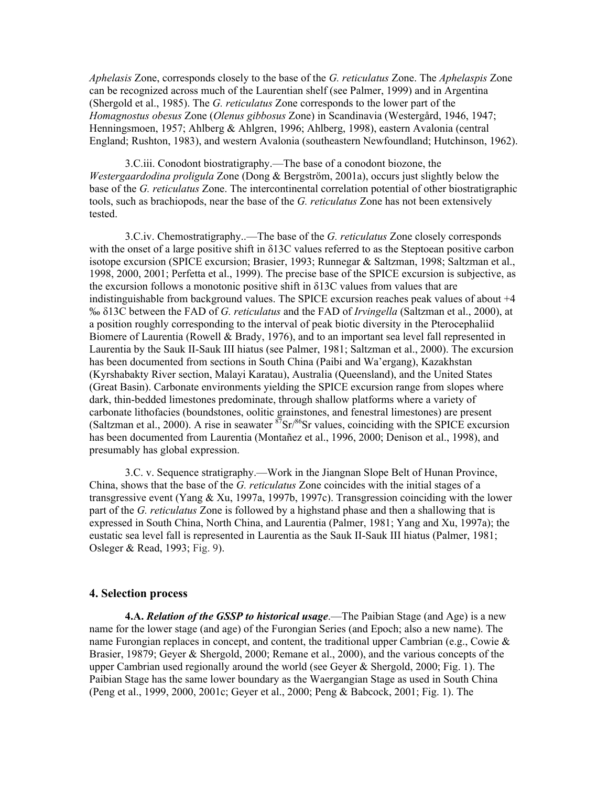*Aphelasis* Zone, corresponds closely to the base of the *G. reticulatus* Zone. The *Aphelaspis* Zone can be recognized across much of the Laurentian shelf (see Palmer, 1999) and in Argentina (Shergold et al., 1985). The *G. reticulatus* Zone corresponds to the lower part of the *Homagnostus obesus* Zone (*Olenus gibbosus* Zone) in Scandinavia (Westergård, 1946, 1947; Henningsmoen, 1957; Ahlberg & Ahlgren, 1996; Ahlberg, 1998), eastern Avalonia (central England; Rushton, 1983), and western Avalonia (southeastern Newfoundland; Hutchinson, 1962).

3.C.iii. Conodont biostratigraphy.—The base of a conodont biozone, the *Westergaardodina proligula* Zone (Dong & Bergström, 2001a), occurs just slightly below the base of the *G. reticulatus* Zone. The intercontinental correlation potential of other biostratigraphic tools, such as brachiopods, near the base of the *G. reticulatus* Zone has not been extensively tested.

3.C.iv. Chemostratigraphy..—The base of the *G. reticulatus* Zone closely corresponds with the onset of a large positive shift in δ13C values referred to as the Steptoean positive carbon isotope excursion (SPICE excursion; Brasier, 1993; Runnegar & Saltzman, 1998; Saltzman et al., 1998, 2000, 2001; Perfetta et al., 1999). The precise base of the SPICE excursion is subjective, as the excursion follows a monotonic positive shift in  $\delta$ 13C values from values that are indistinguishable from background values. The SPICE excursion reaches peak values of about +4 ‰ δ13C between the FAD of *G. reticulatus* and the FAD of *Irvingella* (Saltzman et al., 2000), at a position roughly corresponding to the interval of peak biotic diversity in the Pterocephaliid Biomere of Laurentia (Rowell & Brady, 1976), and to an important sea level fall represented in Laurentia by the Sauk II-Sauk III hiatus (see Palmer, 1981; Saltzman et al., 2000). The excursion has been documented from sections in South China (Paibi and Wa'ergang), Kazakhstan (Kyrshabakty River section, Malayi Karatau), Australia (Queensland), and the United States (Great Basin). Carbonate environments yielding the SPICE excursion range from slopes where dark, thin-bedded limestones predominate, through shallow platforms where a variety of carbonate lithofacies (boundstones, oolitic grainstones, and fenestral limestones) are present (Saltzman et al., 2000). A rise in seawater  ${}^{87}Sr/{}^{86}Sr$  values, coinciding with the SPICE excursion has been documented from Laurentia (Montañez et al., 1996, 2000; Denison et al., 1998), and presumably has global expression.

3.C. v. Sequence stratigraphy.—Work in the Jiangnan Slope Belt of Hunan Province, China, shows that the base of the *G. reticulatus* Zone coincides with the initial stages of a transgressive event (Yang & Xu, 1997a, 1997b, 1997c). Transgression coinciding with the lower part of the *G. reticulatus* Zone is followed by a highstand phase and then a shallowing that is expressed in South China, North China, and Laurentia (Palmer, 1981; Yang and Xu, 1997a); the eustatic sea level fall is represented in Laurentia as the Sauk II-Sauk III hiatus (Palmer, 1981; Osleger & Read, 1993; Fig. 9).

#### **4. Selection process**

**4.A.** *Relation of the GSSP to historical usage*.—The Paibian Stage (and Age) is a new name for the lower stage (and age) of the Furongian Series (and Epoch; also a new name). The name Furongian replaces in concept, and content, the traditional upper Cambrian (e.g., Cowie  $\&$ Brasier, 19879; Geyer & Shergold, 2000; Remane et al., 2000), and the various concepts of the upper Cambrian used regionally around the world (see Geyer  $\&$  Shergold, 2000; Fig. 1). The Paibian Stage has the same lower boundary as the Waergangian Stage as used in South China (Peng et al., 1999, 2000, 2001c; Geyer et al., 2000; Peng & Babcock, 2001; Fig. 1). The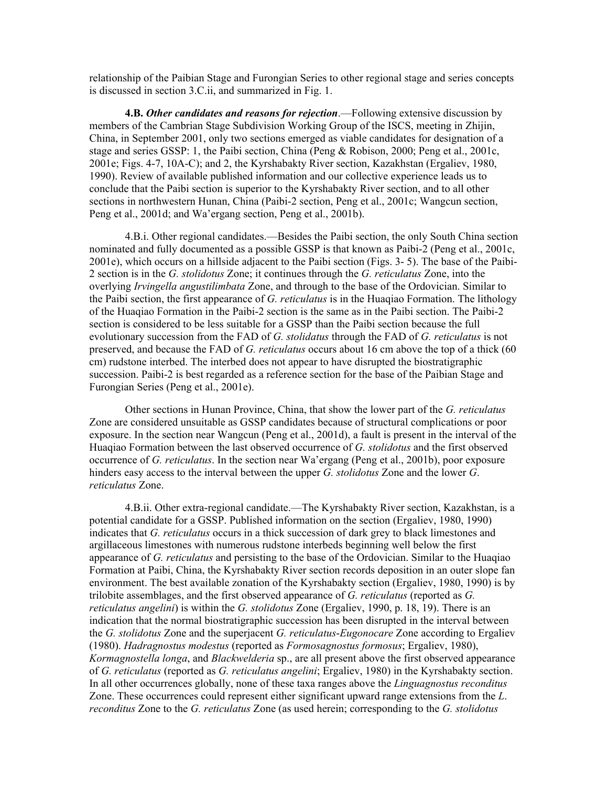relationship of the Paibian Stage and Furongian Series to other regional stage and series concepts is discussed in section 3.C.ii, and summarized in Fig. 1.

**4.B.** *Other candidates and reasons for rejection*.—Following extensive discussion by members of the Cambrian Stage Subdivision Working Group of the ISCS, meeting in Zhijin, China, in September 2001, only two sections emerged as viable candidates for designation of a stage and series GSSP: 1, the Paibi section, China (Peng & Robison, 2000; Peng et al., 2001c, 2001e; Figs. 4-7, 10A-C); and 2, the Kyrshabakty River section, Kazakhstan (Ergaliev, 1980, 1990). Review of available published information and our collective experience leads us to conclude that the Paibi section is superior to the Kyrshabakty River section, and to all other sections in northwestern Hunan, China (Paibi-2 section, Peng et al., 2001c; Wangcun section, Peng et al., 2001d; and Wa'ergang section, Peng et al., 2001b).

4.B.i. Other regional candidates.—Besides the Paibi section, the only South China section nominated and fully documented as a possible GSSP is that known as Paibi-2 (Peng et al., 2001c, 2001e), which occurs on a hillside adjacent to the Paibi section (Figs. 3- 5). The base of the Paibi-2 section is in the *G. stolidotus* Zone; it continues through the *G. reticulatus* Zone, into the overlying *Irvingella angustilimbata* Zone, and through to the base of the Ordovician. Similar to the Paibi section, the first appearance of *G. reticulatus* is in the Huaqiao Formation. The lithology of the Huaqiao Formation in the Paibi-2 section is the same as in the Paibi section. The Paibi-2 section is considered to be less suitable for a GSSP than the Paibi section because the full evolutionary succession from the FAD of *G. stolidatus* through the FAD of *G. reticulatus* is not preserved, and because the FAD of *G. reticulatus* occurs about 16 cm above the top of a thick (60 cm) rudstone interbed. The interbed does not appear to have disrupted the biostratigraphic succession. Paibi-2 is best regarded as a reference section for the base of the Paibian Stage and Furongian Series (Peng et al., 2001e).

Other sections in Hunan Province, China, that show the lower part of the *G. reticulatus* Zone are considered unsuitable as GSSP candidates because of structural complications or poor exposure. In the section near Wangcun (Peng et al., 2001d), a fault is present in the interval of the Huaqiao Formation between the last observed occurrence of *G. stolidotus* and the first observed occurrence of *G. reticulatus*. In the section near Wa'ergang (Peng et al., 2001b), poor exposure hinders easy access to the interval between the upper *G. stolidotus* Zone and the lower *G*. *reticulatus* Zone.

4.B.ii. Other extra-regional candidate.—The Kyrshabakty River section, Kazakhstan, is a potential candidate for a GSSP. Published information on the section (Ergaliev, 1980, 1990) indicates that *G. reticulatus* occurs in a thick succession of dark grey to black limestones and argillaceous limestones with numerous rudstone interbeds beginning well below the first appearance of *G. reticulatus* and persisting to the base of the Ordovician. Similar to the Huaqiao Formation at Paibi, China, the Kyrshabakty River section records deposition in an outer slope fan environment. The best available zonation of the Kyrshabakty section (Ergaliev, 1980, 1990) is by trilobite assemblages, and the first observed appearance of *G. reticulatus* (reported as *G. reticulatus angelini*) is within the *G. stolidotus* Zone (Ergaliev, 1990, p. 18, 19). There is an indication that the normal biostratigraphic succession has been disrupted in the interval between the *G. stolidotus* Zone and the superjacent *G. reticulatus*-*Eugonocare* Zone according to Ergaliev (1980). *Hadragnostus modestus* (reported as *Formosagnostus formosus*; Ergaliev, 1980), *Kormagnostella longa*, and *Blackwelderia* sp., are all present above the first observed appearance of *G. reticulatus* (reported as *G. reticulatus angelini*; Ergaliev, 1980) in the Kyrshabakty section. In all other occurrences globally, none of these taxa ranges above the *Linguagnostus reconditus* Zone. These occurrences could represent either significant upward range extensions from the *L*. *reconditus* Zone to the *G. reticulatus* Zone (as used herein; corresponding to the *G. stolidotus*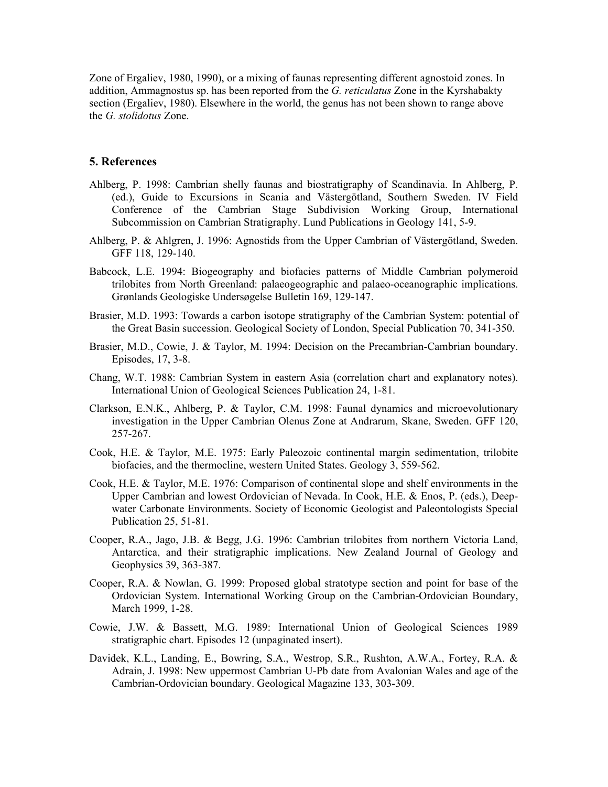Zone of Ergaliev, 1980, 1990), or a mixing of faunas representing different agnostoid zones. In addition, Ammagnostus sp. has been reported from the *G. reticulatus* Zone in the Kyrshabakty section (Ergaliev, 1980). Elsewhere in the world, the genus has not been shown to range above the *G. stolidotus* Zone.

#### **5. References**

- Ahlberg, P. 1998: Cambrian shelly faunas and biostratigraphy of Scandinavia. In Ahlberg, P. (ed.), Guide to Excursions in Scania and Västergötland, Southern Sweden. IV Field Conference of the Cambrian Stage Subdivision Working Group, International Subcommission on Cambrian Stratigraphy. Lund Publications in Geology 141, 5-9.
- Ahlberg, P. & Ahlgren, J. 1996: Agnostids from the Upper Cambrian of Västergötland, Sweden. GFF 118, 129-140.
- Babcock, L.E. 1994: Biogeography and biofacies patterns of Middle Cambrian polymeroid trilobites from North Greenland: palaeogeographic and palaeo-oceanographic implications. Grønlands Geologiske Undersøgelse Bulletin 169, 129-147.
- Brasier, M.D. 1993: Towards a carbon isotope stratigraphy of the Cambrian System: potential of the Great Basin succession. Geological Society of London, Special Publication 70, 341-350.
- Brasier, M.D., Cowie, J. & Taylor, M. 1994: Decision on the Precambrian-Cambrian boundary. Episodes, 17, 3-8.
- Chang, W.T. 1988: Cambrian System in eastern Asia (correlation chart and explanatory notes). International Union of Geological Sciences Publication 24, 1-81.
- Clarkson, E.N.K., Ahlberg, P. & Taylor, C.M. 1998: Faunal dynamics and microevolutionary investigation in the Upper Cambrian Olenus Zone at Andrarum, Skane, Sweden. GFF 120, 257-267.
- Cook, H.E. & Taylor, M.E. 1975: Early Paleozoic continental margin sedimentation, trilobite biofacies, and the thermocline, western United States. Geology 3, 559-562.
- Cook, H.E. & Taylor, M.E. 1976: Comparison of continental slope and shelf environments in the Upper Cambrian and lowest Ordovician of Nevada. In Cook, H.E. & Enos, P. (eds.), Deepwater Carbonate Environments. Society of Economic Geologist and Paleontologists Special Publication 25, 51-81.
- Cooper, R.A., Jago, J.B. & Begg, J.G. 1996: Cambrian trilobites from northern Victoria Land, Antarctica, and their stratigraphic implications. New Zealand Journal of Geology and Geophysics 39, 363-387.
- Cooper, R.A. & Nowlan, G. 1999: Proposed global stratotype section and point for base of the Ordovician System. International Working Group on the Cambrian-Ordovician Boundary, March 1999, 1-28.
- Cowie, J.W. & Bassett, M.G. 1989: International Union of Geological Sciences 1989 stratigraphic chart. Episodes 12 (unpaginated insert).
- Davidek, K.L., Landing, E., Bowring, S.A., Westrop, S.R., Rushton, A.W.A., Fortey, R.A. & Adrain, J. 1998: New uppermost Cambrian U-Pb date from Avalonian Wales and age of the Cambrian-Ordovician boundary. Geological Magazine 133, 303-309.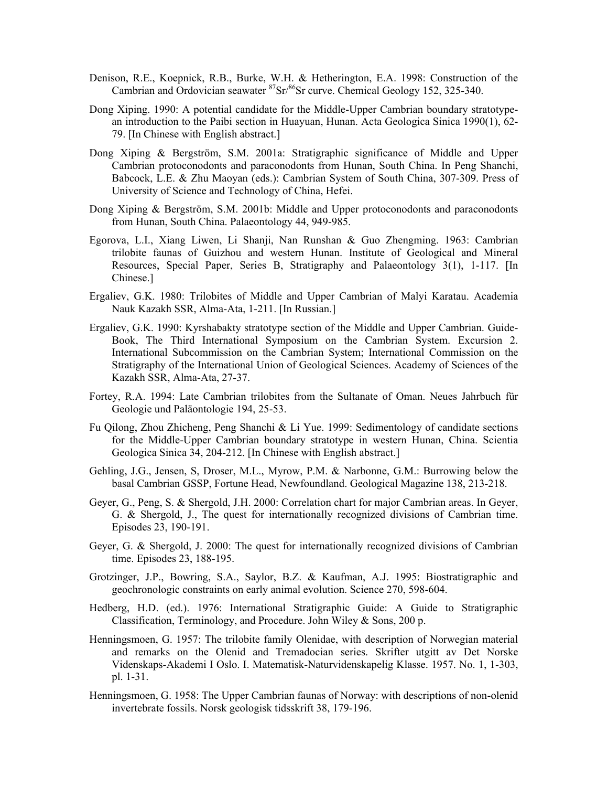- Denison, R.E., Koepnick, R.B., Burke, W.H. & Hetherington, E.A. 1998: Construction of the Cambrian and Ordovician seawater  ${}^{87}Sr/{}^{86}Sr$  curve. Chemical Geology 152, 325-340.
- Dong Xiping. 1990: A potential candidate for the Middle-Upper Cambrian boundary stratotypean introduction to the Paibi section in Huayuan, Hunan. Acta Geologica Sinica 1990(1), 62- 79. [In Chinese with English abstract.]
- Dong Xiping & Bergström, S.M. 2001a: Stratigraphic significance of Middle and Upper Cambrian protoconodonts and paraconodonts from Hunan, South China. In Peng Shanchi, Babcock, L.E. & Zhu Maoyan (eds.): Cambrian System of South China, 307-309. Press of University of Science and Technology of China, Hefei.
- Dong Xiping & Bergström, S.M. 2001b: Middle and Upper protoconodonts and paraconodonts from Hunan, South China. Palaeontology 44, 949-985.
- Egorova, L.I., Xiang Liwen, Li Shanji, Nan Runshan & Guo Zhengming. 1963: Cambrian trilobite faunas of Guizhou and western Hunan. Institute of Geological and Mineral Resources, Special Paper, Series B, Stratigraphy and Palaeontology 3(1), 1-117. [In Chinese.]
- Ergaliev, G.K. 1980: Trilobites of Middle and Upper Cambrian of Malyi Karatau. Academia Nauk Kazakh SSR, Alma-Ata, 1-211. [In Russian.]
- Ergaliev, G.K. 1990: Kyrshabakty stratotype section of the Middle and Upper Cambrian. Guide-Book, The Third International Symposium on the Cambrian System. Excursion 2. International Subcommission on the Cambrian System; International Commission on the Stratigraphy of the International Union of Geological Sciences. Academy of Sciences of the Kazakh SSR, Alma-Ata, 27-37.
- Fortey, R.A. 1994: Late Cambrian trilobites from the Sultanate of Oman. Neues Jahrbuch für Geologie und Paläontologie 194, 25-53.
- Fu Qilong, Zhou Zhicheng, Peng Shanchi & Li Yue. 1999: Sedimentology of candidate sections for the Middle-Upper Cambrian boundary stratotype in western Hunan, China. Scientia Geologica Sinica 34, 204-212. [In Chinese with English abstract.]
- Gehling, J.G., Jensen, S, Droser, M.L., Myrow, P.M. & Narbonne, G.M.: Burrowing below the basal Cambrian GSSP, Fortune Head, Newfoundland. Geological Magazine 138, 213-218.
- Geyer, G., Peng, S. & Shergold, J.H. 2000: Correlation chart for major Cambrian areas. In Geyer, G. & Shergold, J., The quest for internationally recognized divisions of Cambrian time. Episodes 23, 190-191.
- Geyer, G. & Shergold, J. 2000: The quest for internationally recognized divisions of Cambrian time. Episodes 23, 188-195.
- Grotzinger, J.P., Bowring, S.A., Saylor, B.Z. & Kaufman, A.J. 1995: Biostratigraphic and geochronologic constraints on early animal evolution. Science 270, 598-604.
- Hedberg, H.D. (ed.). 1976: International Stratigraphic Guide: A Guide to Stratigraphic Classification, Terminology, and Procedure. John Wiley & Sons, 200 p.
- Henningsmoen, G. 1957: The trilobite family Olenidae, with description of Norwegian material and remarks on the Olenid and Tremadocian series. Skrifter utgitt av Det Norske Videnskaps-Akademi I Oslo. I. Matematisk-Naturvidenskapelig Klasse. 1957. No. 1, 1-303, pl. 1-31.
- Henningsmoen, G. 1958: The Upper Cambrian faunas of Norway: with descriptions of non-olenid invertebrate fossils. Norsk geologisk tidsskrift 38, 179-196.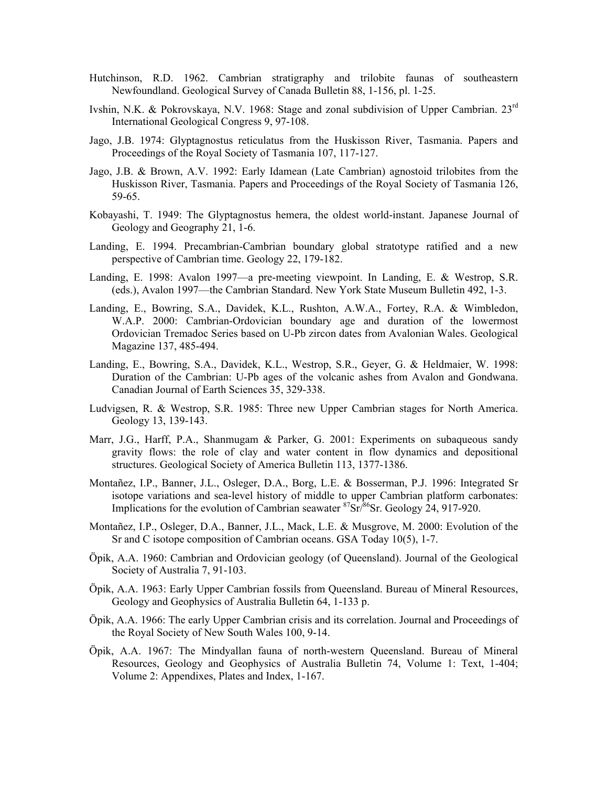- Hutchinson, R.D. 1962. Cambrian stratigraphy and trilobite faunas of southeastern Newfoundland. Geological Survey of Canada Bulletin 88, 1-156, pl. 1-25.
- Ivshin, N.K. & Pokrovskaya, N.V. 1968: Stage and zonal subdivision of Upper Cambrian. 23rd International Geological Congress 9, 97-108.
- Jago, J.B. 1974: Glyptagnostus reticulatus from the Huskisson River, Tasmania. Papers and Proceedings of the Royal Society of Tasmania 107, 117-127.
- Jago, J.B. & Brown, A.V. 1992: Early Idamean (Late Cambrian) agnostoid trilobites from the Huskisson River, Tasmania. Papers and Proceedings of the Royal Society of Tasmania 126, 59-65.
- Kobayashi, T. 1949: The Glyptagnostus hemera, the oldest world-instant. Japanese Journal of Geology and Geography 21, 1-6.
- Landing, E. 1994. Precambrian-Cambrian boundary global stratotype ratified and a new perspective of Cambrian time. Geology 22, 179-182.
- Landing, E. 1998: Avalon 1997—a pre-meeting viewpoint. In Landing, E. & Westrop, S.R. (eds.), Avalon 1997—the Cambrian Standard. New York State Museum Bulletin 492, 1-3.
- Landing, E., Bowring, S.A., Davidek, K.L., Rushton, A.W.A., Fortey, R.A. & Wimbledon, W.A.P. 2000: Cambrian-Ordovician boundary age and duration of the lowermost Ordovician Tremadoc Series based on U-Pb zircon dates from Avalonian Wales. Geological Magazine 137, 485-494.
- Landing, E., Bowring, S.A., Davidek, K.L., Westrop, S.R., Geyer, G. & Heldmaier, W. 1998: Duration of the Cambrian: U-Pb ages of the volcanic ashes from Avalon and Gondwana. Canadian Journal of Earth Sciences 35, 329-338.
- Ludvigsen, R. & Westrop, S.R. 1985: Three new Upper Cambrian stages for North America. Geology 13, 139-143.
- Marr, J.G., Harff, P.A., Shanmugam & Parker, G. 2001: Experiments on subaqueous sandy gravity flows: the role of clay and water content in flow dynamics and depositional structures. Geological Society of America Bulletin 113, 1377-1386.
- Montañez, I.P., Banner, J.L., Osleger, D.A., Borg, L.E. & Bosserman, P.J. 1996: Integrated Sr isotope variations and sea-level history of middle to upper Cambrian platform carbonates: Implications for the evolution of Cambrian seawater  ${}^{87}Sr/{}^{86}Sr$ . Geology 24, 917-920.
- Montañez, I.P., Osleger, D.A., Banner, J.L., Mack, L.E. & Musgrove, M. 2000: Evolution of the Sr and C isotope composition of Cambrian oceans. GSA Today 10(5), 1-7.
- Öpik, A.A. 1960: Cambrian and Ordovician geology (of Queensland). Journal of the Geological Society of Australia 7, 91-103.
- Öpik, A.A. 1963: Early Upper Cambrian fossils from Queensland. Bureau of Mineral Resources, Geology and Geophysics of Australia Bulletin 64, 1-133 p.
- Öpik, A.A. 1966: The early Upper Cambrian crisis and its correlation. Journal and Proceedings of the Royal Society of New South Wales 100, 9-14.
- Öpik, A.A. 1967: The Mindyallan fauna of north-western Queensland. Bureau of Mineral Resources, Geology and Geophysics of Australia Bulletin 74, Volume 1: Text, 1-404; Volume 2: Appendixes, Plates and Index, 1-167.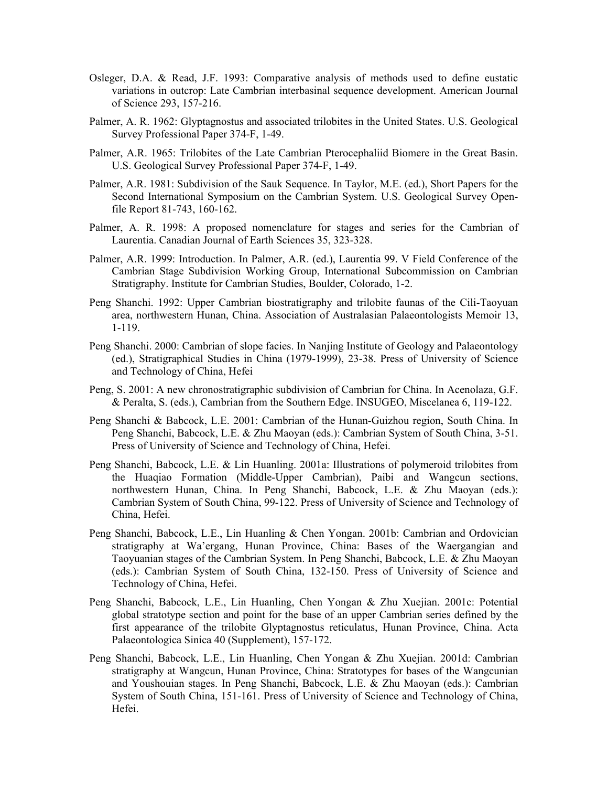- Osleger, D.A. & Read, J.F. 1993: Comparative analysis of methods used to define eustatic variations in outcrop: Late Cambrian interbasinal sequence development. American Journal of Science 293, 157-216.
- Palmer, A. R. 1962: Glyptagnostus and associated trilobites in the United States. U.S. Geological Survey Professional Paper 374-F, 1-49.
- Palmer, A.R. 1965: Trilobites of the Late Cambrian Pterocephaliid Biomere in the Great Basin. U.S. Geological Survey Professional Paper 374-F, 1-49.
- Palmer, A.R. 1981: Subdivision of the Sauk Sequence. In Taylor, M.E. (ed.), Short Papers for the Second International Symposium on the Cambrian System. U.S. Geological Survey Openfile Report 81-743, 160-162.
- Palmer, A. R. 1998: A proposed nomenclature for stages and series for the Cambrian of Laurentia. Canadian Journal of Earth Sciences 35, 323-328.
- Palmer, A.R. 1999: Introduction. In Palmer, A.R. (ed.), Laurentia 99. V Field Conference of the Cambrian Stage Subdivision Working Group, International Subcommission on Cambrian Stratigraphy. Institute for Cambrian Studies, Boulder, Colorado, 1-2.
- Peng Shanchi. 1992: Upper Cambrian biostratigraphy and trilobite faunas of the Cili-Taoyuan area, northwestern Hunan, China. Association of Australasian Palaeontologists Memoir 13, 1-119.
- Peng Shanchi. 2000: Cambrian of slope facies. In Nanjing Institute of Geology and Palaeontology (ed.), Stratigraphical Studies in China (1979-1999), 23-38. Press of University of Science and Technology of China, Hefei
- Peng, S. 2001: A new chronostratigraphic subdivision of Cambrian for China. In Acenolaza, G.F. & Peralta, S. (eds.), Cambrian from the Southern Edge. INSUGEO, Miscelanea 6, 119-122.
- Peng Shanchi & Babcock, L.E. 2001: Cambrian of the Hunan-Guizhou region, South China. In Peng Shanchi, Babcock, L.E. & Zhu Maoyan (eds.): Cambrian System of South China, 3-51. Press of University of Science and Technology of China, Hefei.
- Peng Shanchi, Babcock, L.E. & Lin Huanling. 2001a: Illustrations of polymeroid trilobites from the Huaqiao Formation (Middle-Upper Cambrian), Paibi and Wangcun sections, northwestern Hunan, China. In Peng Shanchi, Babcock, L.E. & Zhu Maoyan (eds.): Cambrian System of South China, 99-122. Press of University of Science and Technology of China, Hefei.
- Peng Shanchi, Babcock, L.E., Lin Huanling & Chen Yongan. 2001b: Cambrian and Ordovician stratigraphy at Wa'ergang, Hunan Province, China: Bases of the Waergangian and Taoyuanian stages of the Cambrian System. In Peng Shanchi, Babcock, L.E. & Zhu Maoyan (eds.): Cambrian System of South China, 132-150. Press of University of Science and Technology of China, Hefei.
- Peng Shanchi, Babcock, L.E., Lin Huanling, Chen Yongan & Zhu Xuejian. 2001c: Potential global stratotype section and point for the base of an upper Cambrian series defined by the first appearance of the trilobite Glyptagnostus reticulatus, Hunan Province, China. Acta Palaeontologica Sinica 40 (Supplement), 157-172.
- Peng Shanchi, Babcock, L.E., Lin Huanling, Chen Yongan & Zhu Xuejian. 2001d: Cambrian stratigraphy at Wangcun, Hunan Province, China: Stratotypes for bases of the Wangcunian and Youshouian stages. In Peng Shanchi, Babcock, L.E. & Zhu Maoyan (eds.): Cambrian System of South China, 151-161. Press of University of Science and Technology of China, Hefei.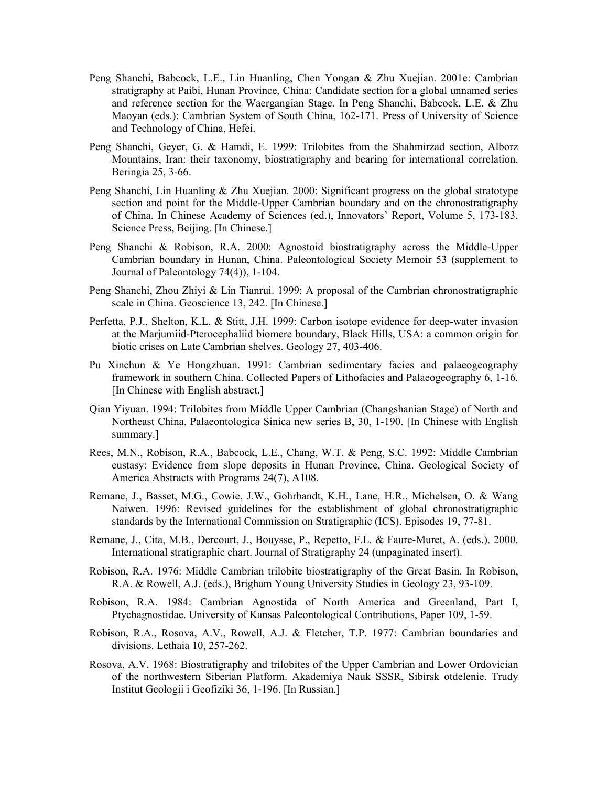- Peng Shanchi, Babcock, L.E., Lin Huanling, Chen Yongan & Zhu Xuejian. 2001e: Cambrian stratigraphy at Paibi, Hunan Province, China: Candidate section for a global unnamed series and reference section for the Waergangian Stage. In Peng Shanchi, Babcock, L.E. & Zhu Maoyan (eds.): Cambrian System of South China, 162-171. Press of University of Science and Technology of China, Hefei.
- Peng Shanchi, Geyer, G. & Hamdi, E. 1999: Trilobites from the Shahmirzad section, Alborz Mountains, Iran: their taxonomy, biostratigraphy and bearing for international correlation. Beringia 25, 3-66.
- Peng Shanchi, Lin Huanling & Zhu Xuejian. 2000: Significant progress on the global stratotype section and point for the Middle-Upper Cambrian boundary and on the chronostratigraphy of China. In Chinese Academy of Sciences (ed.), Innovators' Report, Volume 5, 173-183. Science Press, Beijing. [In Chinese.]
- Peng Shanchi & Robison, R.A. 2000: Agnostoid biostratigraphy across the Middle-Upper Cambrian boundary in Hunan, China. Paleontological Society Memoir 53 (supplement to Journal of Paleontology 74(4)), 1-104.
- Peng Shanchi, Zhou Zhiyi & Lin Tianrui. 1999: A proposal of the Cambrian chronostratigraphic scale in China. Geoscience 13, 242. [In Chinese.]
- Perfetta, P.J., Shelton, K.L. & Stitt, J.H. 1999: Carbon isotope evidence for deep-water invasion at the Marjumiid-Pterocephaliid biomere boundary, Black Hills, USA: a common origin for biotic crises on Late Cambrian shelves. Geology 27, 403-406.
- Pu Xinchun & Ye Hongzhuan. 1991: Cambrian sedimentary facies and palaeogeography framework in southern China. Collected Papers of Lithofacies and Palaeogeography 6, 1-16. [In Chinese with English abstract.]
- Qian Yiyuan. 1994: Trilobites from Middle Upper Cambrian (Changshanian Stage) of North and Northeast China. Palaeontologica Sinica new series B, 30, 1-190. [In Chinese with English summary.]
- Rees, M.N., Robison, R.A., Babcock, L.E., Chang, W.T. & Peng, S.C. 1992: Middle Cambrian eustasy: Evidence from slope deposits in Hunan Province, China. Geological Society of America Abstracts with Programs 24(7), A108.
- Remane, J., Basset, M.G., Cowie, J.W., Gohrbandt, K.H., Lane, H.R., Michelsen, O. & Wang Naiwen. 1996: Revised guidelines for the establishment of global chronostratigraphic standards by the International Commission on Stratigraphic (ICS). Episodes 19, 77-81.
- Remane, J., Cita, M.B., Dercourt, J., Bouysse, P., Repetto, F.L. & Faure-Muret, A. (eds.). 2000. International stratigraphic chart. Journal of Stratigraphy 24 (unpaginated insert).
- Robison, R.A. 1976: Middle Cambrian trilobite biostratigraphy of the Great Basin. In Robison, R.A. & Rowell, A.J. (eds.), Brigham Young University Studies in Geology 23, 93-109.
- Robison, R.A. 1984: Cambrian Agnostida of North America and Greenland, Part I, Ptychagnostidae. University of Kansas Paleontological Contributions, Paper 109, 1-59.
- Robison, R.A., Rosova, A.V., Rowell, A.J. & Fletcher, T.P. 1977: Cambrian boundaries and divisions. Lethaia 10, 257-262.
- Rosova, A.V. 1968: Biostratigraphy and trilobites of the Upper Cambrian and Lower Ordovician of the northwestern Siberian Platform. Akademiya Nauk SSSR, Sibirsk otdelenie. Trudy Institut Geologii i Geofiziki 36, 1-196. [In Russian.]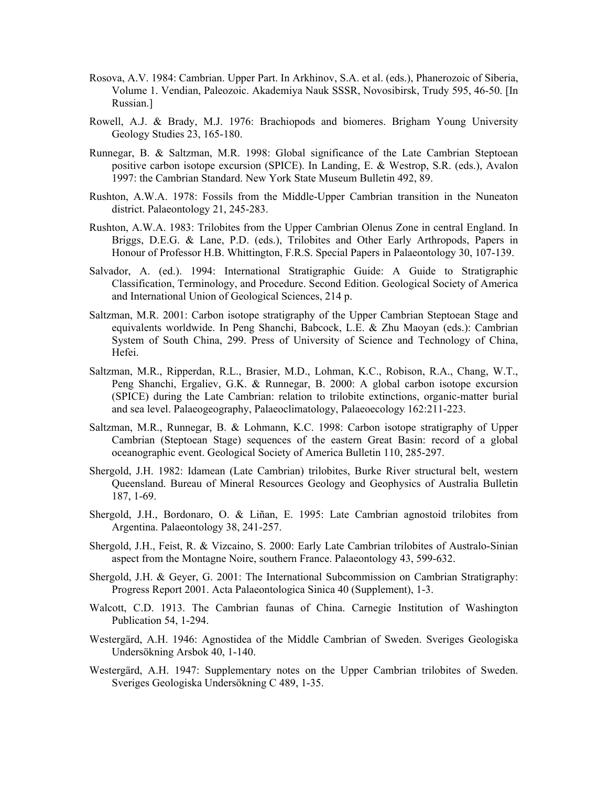- Rosova, A.V. 1984: Cambrian. Upper Part. In Arkhinov, S.A. et al. (eds.), Phanerozoic of Siberia, Volume 1. Vendian, Paleozoic. Akademiya Nauk SSSR, Novosibirsk, Trudy 595, 46-50. [In Russian.]
- Rowell, A.J. & Brady, M.J. 1976: Brachiopods and biomeres. Brigham Young University Geology Studies 23, 165-180.
- Runnegar, B. & Saltzman, M.R. 1998: Global significance of the Late Cambrian Steptoean positive carbon isotope excursion (SPICE). In Landing, E. & Westrop, S.R. (eds.), Avalon 1997: the Cambrian Standard. New York State Museum Bulletin 492, 89.
- Rushton, A.W.A. 1978: Fossils from the Middle-Upper Cambrian transition in the Nuneaton district. Palaeontology 21, 245-283.
- Rushton, A.W.A. 1983: Trilobites from the Upper Cambrian Olenus Zone in central England. In Briggs, D.E.G. & Lane, P.D. (eds.), Trilobites and Other Early Arthropods, Papers in Honour of Professor H.B. Whittington, F.R.S. Special Papers in Palaeontology 30, 107-139.
- Salvador, A. (ed.). 1994: International Stratigraphic Guide: A Guide to Stratigraphic Classification, Terminology, and Procedure. Second Edition. Geological Society of America and International Union of Geological Sciences, 214 p.
- Saltzman, M.R. 2001: Carbon isotope stratigraphy of the Upper Cambrian Steptoean Stage and equivalents worldwide. In Peng Shanchi, Babcock, L.E. & Zhu Maoyan (eds.): Cambrian System of South China, 299. Press of University of Science and Technology of China, Hefei.
- Saltzman, M.R., Ripperdan, R.L., Brasier, M.D., Lohman, K.C., Robison, R.A., Chang, W.T., Peng Shanchi, Ergaliev, G.K. & Runnegar, B. 2000: A global carbon isotope excursion (SPICE) during the Late Cambrian: relation to trilobite extinctions, organic-matter burial and sea level. Palaeogeography, Palaeoclimatology, Palaeoecology 162:211-223.
- Saltzman, M.R., Runnegar, B. & Lohmann, K.C. 1998: Carbon isotope stratigraphy of Upper Cambrian (Steptoean Stage) sequences of the eastern Great Basin: record of a global oceanographic event. Geological Society of America Bulletin 110, 285-297.
- Shergold, J.H. 1982: Idamean (Late Cambrian) trilobites, Burke River structural belt, western Queensland. Bureau of Mineral Resources Geology and Geophysics of Australia Bulletin 187, 1-69.
- Shergold, J.H., Bordonaro, O. & Liñan, E. 1995: Late Cambrian agnostoid trilobites from Argentina. Palaeontology 38, 241-257.
- Shergold, J.H., Feist, R. & Vizcaino, S. 2000: Early Late Cambrian trilobites of Australo-Sinian aspect from the Montagne Noire, southern France. Palaeontology 43, 599-632.
- Shergold, J.H. & Geyer, G. 2001: The International Subcommission on Cambrian Stratigraphy: Progress Report 2001. Acta Palaeontologica Sinica 40 (Supplement), 1-3.
- Walcott, C.D. 1913. The Cambrian faunas of China. Carnegie Institution of Washington Publication 54, 1-294.
- Westergärd, A.H. 1946: Agnostidea of the Middle Cambrian of Sweden. Sveriges Geologiska Undersökning Arsbok 40, 1-140.
- Westergärd, A.H. 1947: Supplementary notes on the Upper Cambrian trilobites of Sweden. Sveriges Geologiska Undersökning C 489, 1-35.